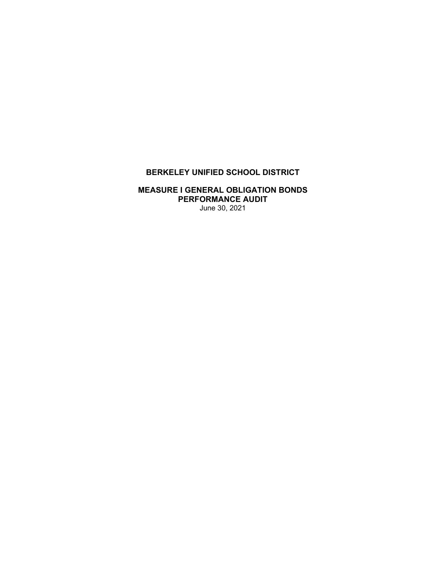# **BERKELEY UNIFIED SCHOOL DISTRICT**

## **MEASURE I GENERAL OBLIGATION BONDS PERFORMANCE AUDIT**  June 30, 2021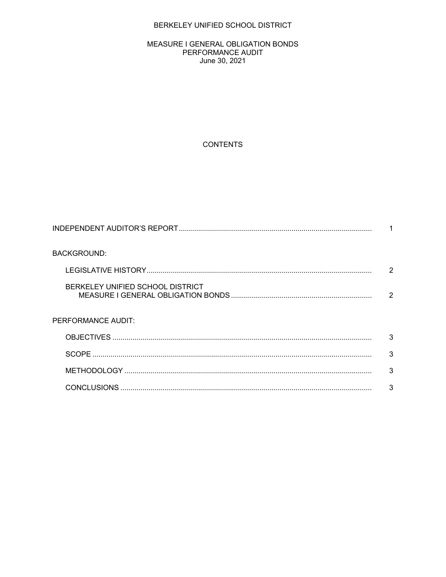# BERKELEY UNIFIED SCHOOL DISTRICT

#### MEASURE I GENERAL OBLIGATION BONDS PERFORMANCE AUDIT June 30, 2021

# **CONTENTS**

| <b>BACKGROUND:</b>               |   |
|----------------------------------|---|
|                                  | 2 |
| BERKELEY UNIFIED SCHOOL DISTRICT | 2 |
| PERFORMANCE AUDIT:               |   |
|                                  | 3 |
|                                  | 3 |
|                                  | 3 |
|                                  | 3 |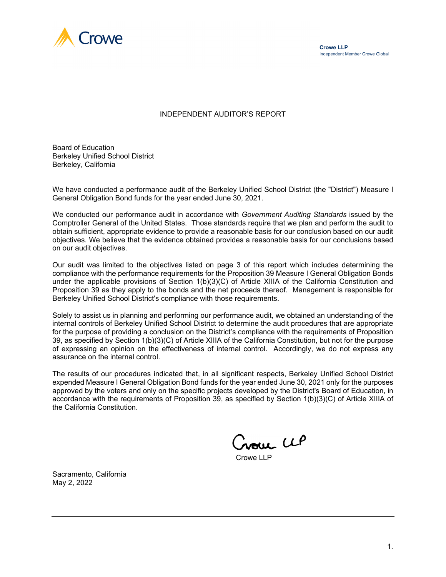

#### INDEPENDENT AUDITOR'S REPORT

Board of Education Berkeley Unified School District Berkeley, California

We have conducted a performance audit of the Berkeley Unified School District (the "District") Measure I General Obligation Bond funds for the year ended June 30, 2021.

We conducted our performance audit in accordance with *Government Auditing Standards* issued by the Comptroller General of the United States. Those standards require that we plan and perform the audit to obtain sufficient, appropriate evidence to provide a reasonable basis for our conclusion based on our audit objectives. We believe that the evidence obtained provides a reasonable basis for our conclusions based on our audit objectives.

Our audit was limited to the objectives listed on page 3 of this report which includes determining the compliance with the performance requirements for the Proposition 39 Measure I General Obligation Bonds under the applicable provisions of Section 1(b)(3)(C) of Article XIIIA of the California Constitution and Proposition 39 as they apply to the bonds and the net proceeds thereof. Management is responsible for Berkeley Unified School District's compliance with those requirements.

Solely to assist us in planning and performing our performance audit, we obtained an understanding of the internal controls of Berkeley Unified School District to determine the audit procedures that are appropriate for the purpose of providing a conclusion on the District's compliance with the requirements of Proposition 39, as specified by Section 1(b)(3)(C) of Article XIIIA of the California Constitution, but not for the purpose of expressing an opinion on the effectiveness of internal control. Accordingly, we do not express any assurance on the internal control.

The results of our procedures indicated that, in all significant respects, Berkeley Unified School District expended Measure I General Obligation Bond funds for the year ended June 30, 2021 only for the purposes approved by the voters and only on the specific projects developed by the District's Board of Education, in accordance with the requirements of Proposition 39, as specified by Section 1(b)(3)(C) of Article XIIIA of the California Constitution.

Crowe CLP

Crowe LLP

Sacramento, California May 2, 2022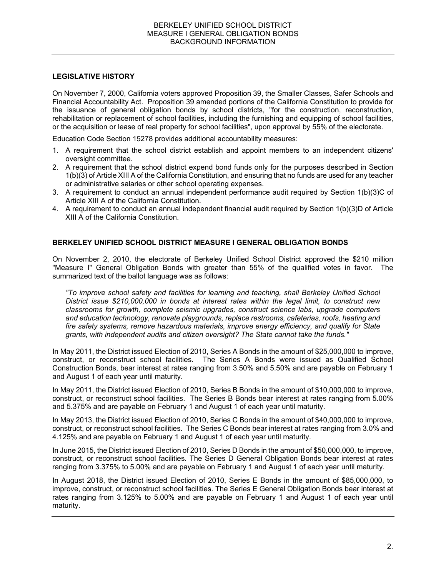#### **LEGISLATIVE HISTORY**

On November 7, 2000, California voters approved Proposition 39, the Smaller Classes, Safer Schools and Financial Accountability Act. Proposition 39 amended portions of the California Constitution to provide for the issuance of general obligation bonds by school districts, "for the construction, reconstruction, rehabilitation or replacement of school facilities, including the furnishing and equipping of school facilities, or the acquisition or lease of real property for school facilities", upon approval by 55% of the electorate.

Education Code Section 15278 provides additional accountability measures:

- 1. A requirement that the school district establish and appoint members to an independent citizens' oversight committee.
- 2. A requirement that the school district expend bond funds only for the purposes described in Section 1(b)(3) of Article XIII A of the California Constitution, and ensuring that no funds are used for any teacher or administrative salaries or other school operating expenses.
- 3. A requirement to conduct an annual independent performance audit required by Section 1(b)(3)C of Article XIII A of the California Constitution.
- 4. A requirement to conduct an annual independent financial audit required by Section 1(b)(3)D of Article XIII A of the California Constitution.

# **BERKELEY UNIFIED SCHOOL DISTRICT MEASURE I GENERAL OBLIGATION BONDS**

On November 2, 2010, the electorate of Berkeley Unified School District approved the \$210 million "Measure I" General Obligation Bonds with greater than 55% of the qualified votes in favor. The summarized text of the ballot language was as follows:

*"To improve school safety and facilities for learning and teaching, shall Berkeley Unified School District issue \$210,000,000 in bonds at interest rates within the legal limit, to construct new classrooms for growth, complete seismic upgrades, construct science labs, upgrade computers and education technology, renovate playgrounds, replace restrooms, cafeterias, roofs, heating and fire safety systems, remove hazardous materials, improve energy efficiency, and qualify for State grants, with independent audits and citizen oversight? The State cannot take the funds."* 

In May 2011, the District issued Election of 2010, Series A Bonds in the amount of \$25,000,000 to improve, construct, or reconstruct school facilities. The Series A Bonds were issued as Qualified School Construction Bonds, bear interest at rates ranging from 3.50% and 5.50% and are payable on February 1 and August 1 of each year until maturity.

In May 2011, the District issued Election of 2010, Series B Bonds in the amount of \$10,000,000 to improve, construct, or reconstruct school facilities. The Series B Bonds bear interest at rates ranging from 5.00% and 5.375% and are payable on February 1 and August 1 of each year until maturity.

In May 2013, the District issued Election of 2010, Series C Bonds in the amount of \$40,000,000 to improve, construct, or reconstruct school facilities. The Series C Bonds bear interest at rates ranging from 3.0% and 4.125% and are payable on February 1 and August 1 of each year until maturity.

In June 2015, the District issued Election of 2010, Series D Bonds in the amount of \$50,000,000, to improve, construct, or reconstruct school facilities. The Series D General Obligation Bonds bear interest at rates ranging from 3.375% to 5.00% and are payable on February 1 and August 1 of each year until maturity.

In August 2018, the District issued Election of 2010, Series E Bonds in the amount of \$85,000,000, to improve, construct, or reconstruct school facilities. The Series E General Obligation Bonds bear interest at rates ranging from 3.125% to 5.00% and are payable on February 1 and August 1 of each year until maturity.